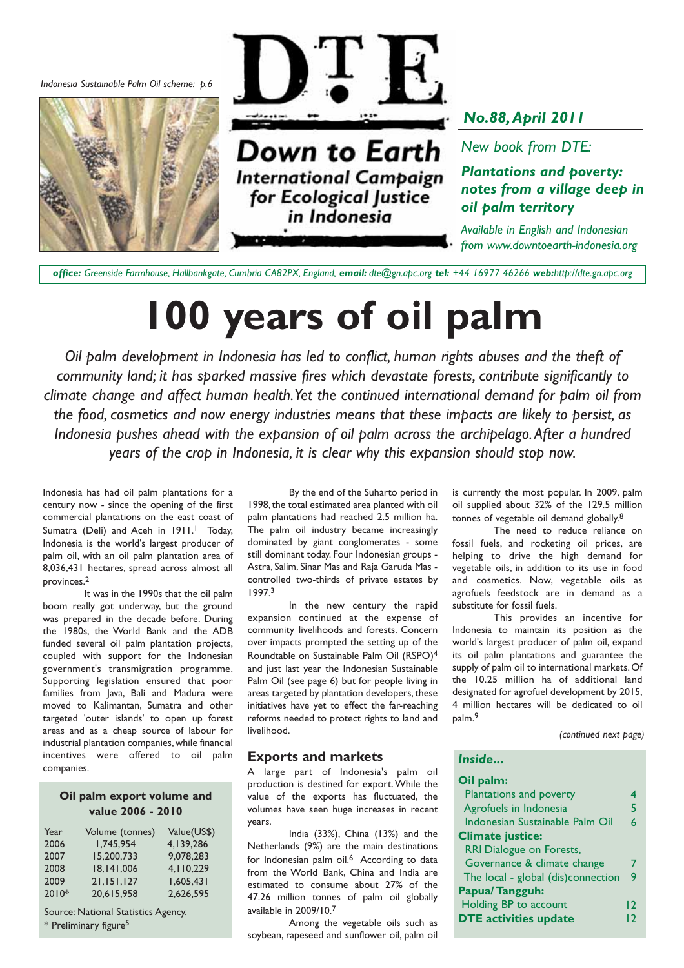*Indonesia Sustainable Palm Oil scheme: p.6*





Down to Earth **International Campaign** for Ecological Justice in Indonesia

*No.88,April 2011*

*New book from DTE:*

*Plantations and poverty: notes from a village deep in oil palm territory*

*Available in English and Indonesian from www.downtoearth-indonesia.org*

*office: Greenside Farmhouse, Hallbankgate, Cumbria CA82PX, England, email: dte@gn.apc.org tel: +44 16977 46266 web:http://dte.gn.apc.org*

# **100 years of oil palm**

*Oil palm development in Indonesia has led to conflict, human rights abuses and the theft of community land; it has sparked massive fires which devastate forests, contribute significantly to climate change and affect human health.Yet the continued international demand for palm oil from the food, cosmetics and now energy industries means that these impacts are likely to persist, as Indonesia pushes ahead with the expansion of oil palm across the archipelago.After a hundred years of the crop in Indonesia, it is clear why this expansion should stop now.*

Indonesia has had oil palm plantations for a century now - since the opening of the first commercial plantations on the east coast of Sumatra (Deli) and Aceh in 1911.<sup>1</sup> Today, Indonesia is the world's largest producer of palm oil, with an oil palm plantation area of 8,036,431 hectares, spread across almost all provinces.2

It was in the 1990s that the oil palm boom really got underway, but the ground was prepared in the decade before. During the 1980s, the World Bank and the ADB funded several oil palm plantation projects, coupled with support for the Indonesian government's transmigration programme. Supporting legislation ensured that poor families from Java, Bali and Madura were moved to Kalimantan, Sumatra and other targeted 'outer islands' to open up forest areas and as a cheap source of labour for industrial plantation companies, while financial incentives were offered to oil palm companies.

#### **Oil palm export volume and value 2006 - 2010**

| Year  | Volume (tonnes) | Value(US\$) |
|-------|-----------------|-------------|
| 2006  | 1.745.954       | 4.139.286   |
| 2007  | 15,200,733      | 9.078.283   |
| 2008  | 18,141,006      | 4,110,229   |
| 2009  | 21,151,127      | 1.605.431   |
| 2010* | 20.615.958      | 2.626.595   |

Source: National Statistics Agency. \* Preliminary figure5

By the end of the Suharto period in 1998, the total estimated area planted with oil palm plantations had reached 2.5 million ha. The palm oil industry became increasingly dominated by giant conglomerates - some still dominant today. Four Indonesian groups - Astra, Salim, Sinar Mas and Raja Garuda Mas controlled two-thirds of private estates by 1997.3

In the new century the rapid expansion continued at the expense of community livelihoods and forests. Concern over impacts prompted the setting up of the Roundtable on Sustainable Palm Oil (RSPO)4 and just last year the Indonesian Sustainable Palm Oil (see page 6) but for people living in areas targeted by plantation developers, these initiatives have yet to effect the far-reaching reforms needed to protect rights to land and livelihood.

#### **Exports and markets**

A large part of Indonesia's palm oil production is destined for export.While the value of the exports has fluctuated, the volumes have seen huge increases in recent years.

India (33%), China (13%) and the Netherlands (9%) are the main destinations for Indonesian palm oil.<sup>6</sup> According to data from the World Bank, China and India are estimated to consume about 27% of the 47.26 million tonnes of palm oil globally available in 2009/10.7

Among the vegetable oils such as soybean, rapeseed and sunflower oil, palm oil is currently the most popular. In 2009, palm oil supplied about 32% of the 129.5 million tonnes of vegetable oil demand globally.8

The need to reduce reliance on fossil fuels, and rocketing oil prices, are helping to drive the high demand for vegetable oils, in addition to its use in food and cosmetics. Now, vegetable oils as agrofuels feedstock are in demand as a substitute for fossil fuels.

This provides an incentive for Indonesia to maintain its position as the world's largest producer of palm oil, expand its oil palm plantations and guarantee the supply of palm oil to international markets. Of the 10.25 million ha of additional land designated for agrofuel development by 2015, 4 million hectares will be dedicated to oil palm.9

*(continued next page)*

#### *Inside...*

| Oil palm:                          |    |
|------------------------------------|----|
| Plantations and poverty            | 4  |
| Agrofuels in Indonesia             | 5  |
| Indonesian Sustainable Palm Oil    | 6  |
| <b>Climate justice:</b>            |    |
| <b>RRI Dialogue on Forests,</b>    |    |
| Governance & climate change        |    |
| The local - global (dis)connection | 9  |
| Papua/Tangguh:                     |    |
| Holding BP to account              | 12 |
| <b>DTE activities update</b>       | 12 |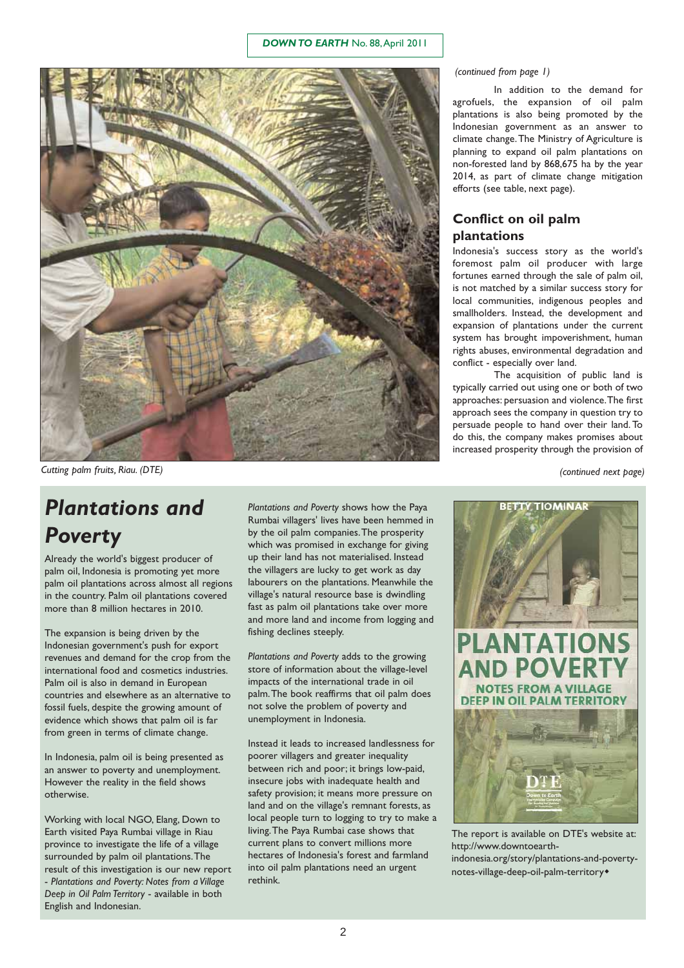#### *DOWN TO EARTH* No. 88,April 2011



*Cutting palm fruits, Riau. (DTE) (continued next page)*

## *Plantations and Poverty*

Already the world's biggest producer of palm oil, Indonesia is promoting yet more palm oil plantations across almost all regions in the country. Palm oil plantations covered more than 8 million hectares in 2010.

The expansion is being driven by the Indonesian government's push for export revenues and demand for the crop from the international food and cosmetics industries. Palm oil is also in demand in European countries and elsewhere as an alternative to fossil fuels, despite the growing amount of evidence which shows that palm oil is far from green in terms of climate change.

In Indonesia, palm oil is being presented as an answer to poverty and unemployment. However the reality in the field shows otherwise.

Working with local NGO, Elang, Down to Earth visited Paya Rumbai village in Riau province to investigate the life of a village surrounded by palm oil plantations.The result of this investigation is our new report - *Plantations and Poverty: Notes from a Village Deep in Oil Palm Territory* - available in both English and Indonesian.

*Plantations and Poverty* shows how the Paya Rumbai villagers' lives have been hemmed in by the oil palm companies.The prosperity which was promised in exchange for giving up their land has not materialised. Instead the villagers are lucky to get work as day labourers on the plantations. Meanwhile the village's natural resource base is dwindling fast as palm oil plantations take over more and more land and income from logging and fishing declines steeply.

*Plantations and Poverty* adds to the growing store of information about the village-level impacts of the international trade in oil palm.The book reaffirms that oil palm does not solve the problem of poverty and unemployment in Indonesia.

Instead it leads to increased landlessness for poorer villagers and greater inequality between rich and poor; it brings low-paid, insecure jobs with inadequate health and safety provision; it means more pressure on land and on the village's remnant forests, as local people turn to logging to try to make a living.The Paya Rumbai case shows that current plans to convert millions more hectares of Indonesia's forest and farmland into oil palm plantations need an urgent rethink.

#### *(continued from page 1)*

In addition to the demand for agrofuels, the expansion of oil palm plantations is also being promoted by the Indonesian government as an answer to climate change.The Ministry of Agriculture is planning to expand oil palm plantations on non-forested land by 868,675 ha by the year 2014, as part of climate change mitigation efforts (see table, next page).

### **Conflict on oil palm plantations**

Indonesia's success story as the world's foremost palm oil producer with large fortunes earned through the sale of palm oil, is not matched by a similar success story for local communities, indigenous peoples and smallholders. Instead, the development and expansion of plantations under the current system has brought impoverishment, human rights abuses, environmental degradation and conflict - especially over land.

The acquisition of public land is typically carried out using one or both of two approaches: persuasion and violence.The first approach sees the company in question try to persuade people to hand over their land. To do this, the company makes promises about increased prosperity through the provision of



The report is available on DTE's website at: http://www.downtoearthindonesia.org/story/plantations-and-povertynotes-village-deep-oil-palm-territory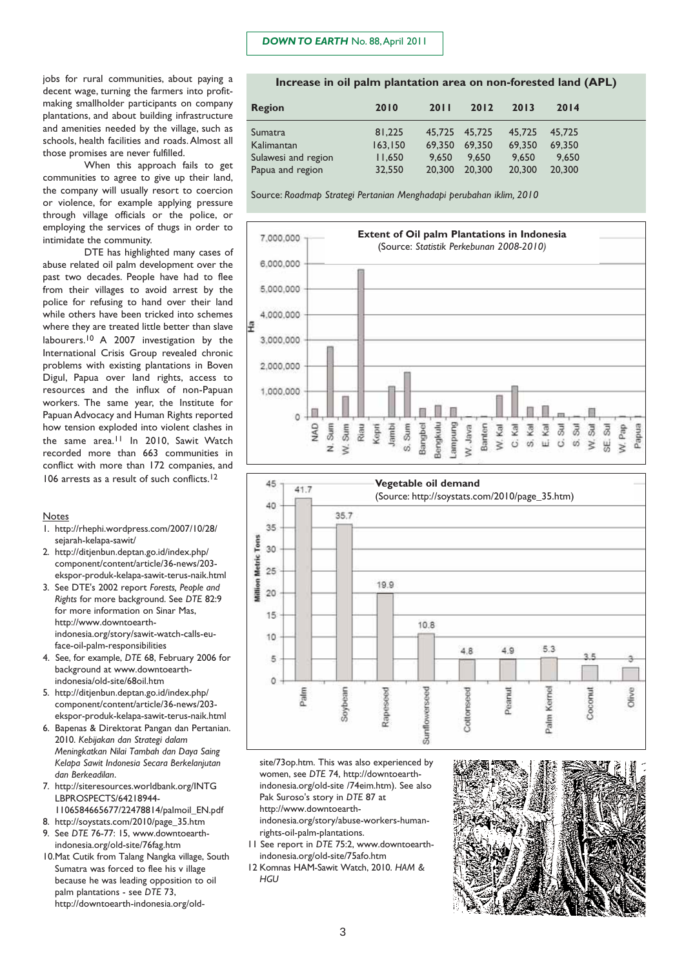#### *DOWN TO EARTH* No. 88,April 2011

jobs for rural communities, about paying a decent wage, turning the farmers into profitmaking smallholder participants on company plantations, and about building infrastructure and amenities needed by the village, such as schools, health facilities and roads. Almost all those promises are never fulfilled.

When this approach fails to get communities to agree to give up their land, the company will usually resort to coercion or violence, for example applying pressure through village officials or the police, or employing the services of thugs in order to intimidate the community.

DTE has highlighted many cases of abuse related oil palm development over the past two decades. People have had to flee from their villages to avoid arrest by the police for refusing to hand over their land while others have been tricked into schemes where they are treated little better than slave labourers.10 A 2007 investigation by the International Crisis Group revealed chronic problems with existing plantations in Boven Digul, Papua over land rights, access to resources and the influx of non-Papuan workers. The same year, the Institute for Papuan Advocacy and Human Rights reported how tension exploded into violent clashes in the same area.<sup>11</sup> In 2010, Sawit Watch recorded more than 663 communities in conflict with more than 172 companies, and 106 arrests as a result of such conflicts.<sup>12</sup>

#### Notes

- 1. http://rhephi.wordpress.com/2007/10/28/ sejarah-kelapa-sawit/
- 2. http://ditjenbun.deptan.go.id/index.php/ component/content/article/36-news/203 ekspor-produk-kelapa-sawit-terus-naik.html
- 3. See DTE's 2002 report *Forests, People and Rights* for more background. See *DTE* 82:9 for more information on Sinar Mas, http://www.downtoearthindonesia.org/story/sawit-watch-calls-euface-oil-palm-responsibilities
- 4. See, for example, *DTE* 68, February 2006 for background at www.downtoearthindonesia/old-site/68oil.htm
- 5. http://ditjenbun.deptan.go.id/index.php/ component/content/article/36-news/203 ekspor-produk-kelapa-sawit-terus-naik.html
- 6. Bapenas & Direktorat Pangan dan Pertanian. 2010. *Kebijakan dan Strategi dalam Meningkatkan Nilai Tambah dan Daya Saing Kelapa Sawit Indonesia Secara Berkelanjutan dan Berkeadilan*.
- 7. http://siteresources.worldbank.org/INTG LBPROSPECTS/64218944-
- 1106584665677/22478814/palmoil\_EN.pdf
- 8. http://soystats.com/2010/page\_35.htm 9. See *DTE* 76-77: 15, www.downtoearthindonesia.org/old-site/76fag.htm
- 10.Mat Cutik from Talang Nangka village, South Sumatra was forced to flee his v illage because he was leading opposition to oil palm plantations - see *DTE* 73, http://downtoearth-indonesia.org/old-

#### **Increase in oil palm plantation area on non-forested land (APL)**

| Region              | 2010    | 2011          | 2012   | 2013   | 2014   |
|---------------------|---------|---------------|--------|--------|--------|
| Sumatra             | 81,225  | 45.725 45.725 |        | 45.725 | 45,725 |
| Kalimantan          | 163.150 | 69.350        | 69,350 | 69,350 | 69,350 |
| Sulawesi and region | 11.650  | 9.650         | 9.650  | 9,650  | 9.650  |
| Papua and region    | 32,550  | 20,300        | 20.300 | 20,300 | 20,300 |

Source: *Roadmap Strategi Pertanian Menghadapi perubahan iklim, 2010*





site/73op.htm. This was also experienced by women, see *DTE* 74, http://downtoearthindonesia.org/old-site /74eim.htm). See also Pak Suroso's story in *DTE* 87 at http://www.downtoearthindonesia.org/story/abuse-workers-humanrights-oil-palm-plantations.

- 11 See report in *DTE* 75:2, www.downtoearthindonesia.org/old-site/75afo.htm
- 12 Komnas HAM-Sawit Watch, 2010. *HAM & HGU*

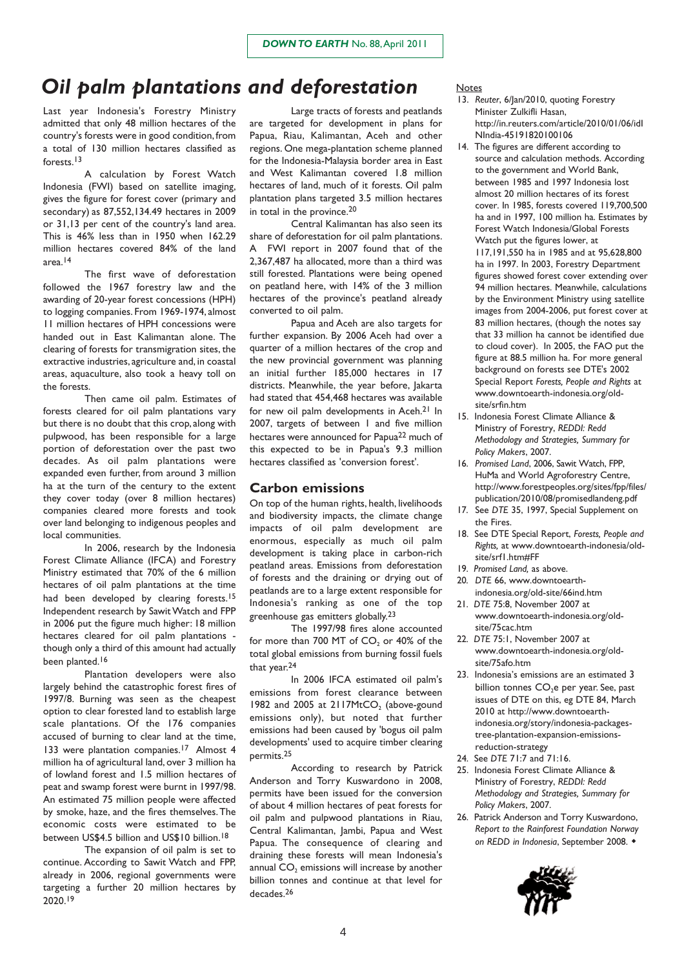## *Oil palm plantations and deforestation*

Last year Indonesia's Forestry Ministry admitted that only 48 million hectares of the country's forests were in good condition, from a total of 130 million hectares classified as forests.13

A calculation by Forest Watch Indonesia (FWI) based on satellite imaging, gives the figure for forest cover (primary and secondary) as 87,552,134.49 hectares in 2009 or 31,13 per cent of the country's land area. This is 46% less than in 1950 when 162.29 million hectares covered 84% of the land area.14

The first wave of deforestation followed the 1967 forestry law and the awarding of 20-year forest concessions (HPH) to logging companies. From 1969-1974, almost 11 million hectares of HPH concessions were handed out in East Kalimantan alone. The clearing of forests for transmigration sites, the extractive industries, agriculture and, in coastal areas, aquaculture, also took a heavy toll on the forests.

Then came oil palm. Estimates of forests cleared for oil palm plantations vary but there is no doubt that this crop, along with pulpwood, has been responsible for a large portion of deforestation over the past two decades. As oil palm plantations were expanded even further, from around 3 million ha at the turn of the century to the extent they cover today (over 8 million hectares) companies cleared more forests and took over land belonging to indigenous peoples and local communities.

In 2006, research by the Indonesia Forest Climate Alliance (IFCA) and Forestry Ministry estimated that 70% of the 6 million hectares of oil palm plantations at the time had been developed by clearing forests.<sup>15</sup> Independent research by Sawit Watch and FPP in 2006 put the figure much higher: 18 million hectares cleared for oil palm plantations though only a third of this amount had actually been planted.<sup>16</sup>

Plantation developers were also largely behind the catastrophic forest fires of 1997/8. Burning was seen as the cheapest option to clear forested land to establish large scale plantations. Of the 176 companies accused of burning to clear land at the time, 133 were plantation companies.<sup>17</sup> Almost 4 million ha of agricultural land, over 3 million ha of lowland forest and 1.5 million hectares of peat and swamp forest were burnt in 1997/98. An estimated 75 million people were affected by smoke, haze, and the fires themselves.The economic costs were estimated to be between US\$4.5 billion and US\$10 billion.18

The expansion of oil palm is set to continue. According to Sawit Watch and FPP, already in 2006, regional governments were targeting a further 20 million hectares by 2020.19

Large tracts of forests and peatlands are targeted for development in plans for Papua, Riau, Kalimantan, Aceh and other regions. One mega-plantation scheme planned for the Indonesia-Malaysia border area in East and West Kalimantan covered 1.8 million hectares of land, much of it forests. Oil palm plantation plans targeted 3.5 million hectares in total in the province.20

Central Kalimantan has also seen its share of deforestation for oil palm plantations. A FWI report in 2007 found that of the 2,367,487 ha allocated, more than a third was still forested. Plantations were being opened on peatland here, with 14% of the 3 million hectares of the province's peatland already converted to oil palm.

Papua and Aceh are also targets for further expansion. By 2006 Aceh had over a quarter of a million hectares of the crop and the new provincial government was planning an initial further 185,000 hectares in 17 districts. Meanwhile, the year before, lakarta had stated that 454,468 hectares was available for new oil palm developments in Aceh.21 In 2007, targets of between I and five million hectares were announced for Papua<sup>22</sup> much of this expected to be in Papua's 9.3 million hectares classified as 'conversion forest'.

#### **Carbon emissions**

On top of the human rights, health, livelihoods and biodiversity impacts, the climate change impacts of oil palm development are enormous, especially as much oil palm development is taking place in carbon-rich peatland areas. Emissions from deforestation of forests and the draining or drying out of peatlands are to a large extent responsible for Indonesia's ranking as one of the top greenhouse gas emitters globally.23

The 1997/98 fires alone accounted for more than 700 MT of CO<sub>2</sub> or 40% of the total global emissions from burning fossil fuels that year.24

In 2006 IFCA estimated oil palm's emissions from forest clearance between 1982 and 2005 at  $2117MtCO$ , (above-gound emissions only), but noted that further emissions had been caused by 'bogus oil palm developments' used to acquire timber clearing permits.25

According to research by Patrick Anderson and Torry Kuswardono in 2008, permits have been issued for the conversion of about 4 million hectares of peat forests for oil palm and pulpwood plantations in Riau, Central Kalimantan, Jambi, Papua and West Papua. The consequence of clearing and draining these forests will mean Indonesia's annual CO<sub>2</sub> emissions will increase by another billion tonnes and continue at that level for decades.26

#### Notes

- 13. *Reuter*, 6/Jan/2010, quoting Forestry Minister Zulkifli Hasan, http://in.reuters.com/article/2010/01/06/idI NIndia-45191820100106
- 14. The figures are different according to source and calculation methods. According to the government and World Bank, between 1985 and 1997 Indonesia lost almost 20 million hectares of its forest cover. In 1985, forests covered 119,700,500 ha and in 1997, 100 million ha. Estimates by Forest Watch Indonesia/Global Forests Watch put the figures lower, at

117,191,550 ha in 1985 and at 95,628,800 ha in 1997. In 2003, Forestry Department figures showed forest cover extending over 94 million hectares. Meanwhile, calculations by the Environment Ministry using satellite images from 2004-2006, put forest cover at 83 million hectares, (though the notes say that 33 million ha cannot be identified due to cloud cover). In 2005, the FAO put the figure at 88.5 million ha. For more general background on forests see DTE's 2002 Special Report *Forests, People and Rights* at www.downtoearth-indonesia.org/oldsite/srfin.htm

- 15. Indonesia Forest Climate Alliance & Ministry of Forestry, *REDDI: Redd Methodology and Strategies, Summary for Policy Makers*, 2007.
- 16. *Promised Land*, 2006, Sawit Watch, FPP, HuMa and World Agroforestry Centre, http://www.forestpeoples.org/sites/fpp/files/ publication/2010/08/promisedlandeng.pdf
- 17. See *DTE* 35, 1997, Special Supplement on the Fires.
- 18. See DTE Special Report, *Forests, People and Rights,* at www.downtoearth-indonesia/oldsite/srf1.htm#FF
- 19. *Promised Land,* as above.
- 20. *DTE* 66, www.downtoearthindonesia.org/old-site/66ind.htm
- 21. *DTE* 75:8, November 2007 at www.downtoearth-indonesia.org/oldsite/75cac.htm
- 22. *DTE* 75:1, November 2007 at www.downtoearth-indonesia.org/oldsite/75afo.htm
- 23. Indonesia's emissions are an estimated 3 billion tonnes CO<sub>2</sub>e per year. See, past issues of DTE on this, eg DTE 84, March 2010 at http://www.downtoearthindonesia.org/story/indonesia-packagestree-plantation-expansion-emissionsreduction-strategy
- 24. See *DTE* 71:7 and 71:16.
- 25. Indonesia Forest Climate Alliance & Ministry of Forestry, *REDDI: Redd Methodology and Strategies, Summary for Policy Makers*, 2007.
- 26. Patrick Anderson and Torry Kuswardono, *Report to the Rainforest Foundation Norway on REDD in Indonesia*, September 2008.

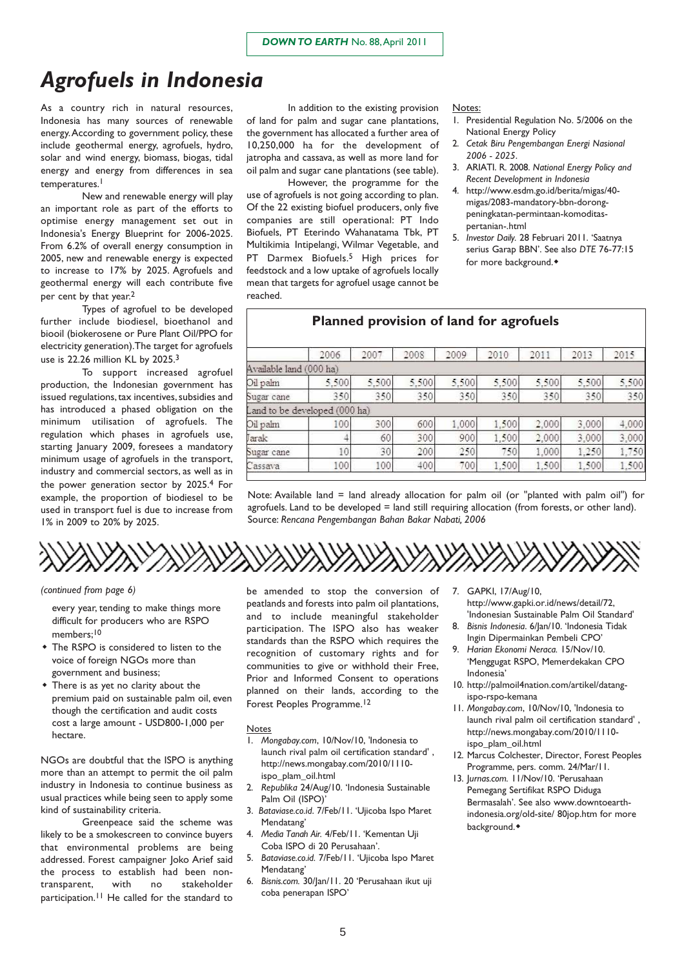## *Agrofuels in Indonesia*

As a country rich in natural resources, Indonesia has many sources of renewable energy.According to government policy, these include geothermal energy, agrofuels, hydro, solar and wind energy, biomass, biogas, tidal energy and energy from differences in sea temperatures.<sup>1</sup>

New and renewable energy will play an important role as part of the efforts to optimise energy management set out in Indonesia's Energy Blueprint for 2006-2025. From 6.2% of overall energy consumption in 2005, new and renewable energy is expected to increase to 17% by 2025. Agrofuels and geothermal energy will each contribute five per cent by that year.2

Types of agrofuel to be developed further include biodiesel, bioethanol and biooil (biokerosene or Pure Plant Oil/PPO for electricity generation).The target for agrofuels use is 22.26 million KL by 2025.3

To support increased agrofuel production, the Indonesian government has issued regulations, tax incentives, subsidies and has introduced a phased obligation on the minimum utilisation of agrofuels. The regulation which phases in agrofuels use, starting January 2009, foresees a mandatory minimum usage of agrofuels in the transport, industry and commercial sectors, as well as in the power generation sector by 2025.4 For example, the proportion of biodiesel to be used in transport fuel is due to increase from 1% in 2009 to 20% by 2025.

In addition to the existing provision of land for palm and sugar cane plantations, the government has allocated a further area of 10,250,000 ha for the development of jatropha and cassava, as well as more land for oil palm and sugar cane plantations (see table).

However, the programme for the use of agrofuels is not going according to plan. Of the 22 existing biofuel producers, only five companies are still operational: PT Indo Biofuels, PT Eterindo Wahanatama Tbk, PT Multikimia Intipelangi, Wilmar Vegetable, and PT Darmex Biofuels.<sup>5</sup> High prices for feedstock and a low uptake of agrofuels locally mean that targets for agrofuel usage cannot be reached.

#### Notes:

- 1. Presidential Regulation No. 5/2006 on the National Energy Policy
- 2. *Cetak Biru Pengembangan Energi Nasional 2006 - 2025*.
- 3. ARIATI. R. 2008. *National Energy Policy and Recent Development in Indonesia*
- 4. http://www.esdm.go.id/berita/migas/40 migas/2083-mandatory-bbn-dorongpeningkatan-permintaan-komoditaspertanian-.html
- 5. *Investor Daily.* 28 Februari 2011. 'Saatnya serius Garap BBN'. See also *DTE* 76-77:15 for more background.

|                               | 2006  | 2007  | 2008  | 2009  | 2010  | 2011  | 2013  | 2015  |
|-------------------------------|-------|-------|-------|-------|-------|-------|-------|-------|
| Available land (000 ha)       |       |       |       |       |       |       |       |       |
| Oil palm                      | 5,500 | 5,500 | 5,500 | 5,500 | 5,500 | 5,500 | 5,500 | 5,500 |
| Sugar cane                    | 350   | 350   | 350   | 350   | 350   | 350   | 350   | 350   |
| Land to be developed (000 ha) |       |       |       |       |       |       |       |       |
| Oil palm                      | 100   | 300   | 600   | 1.000 | 1.500 | 2,000 | 3.000 | 4,000 |
| Jarak                         | 4     | 60    | 300   | 900   | 1,500 | 2.000 | 3,000 | 3,000 |
| Sugar cane                    | 10    | 30    | 200   | 250   | 7501  | 1.000 | 1.250 | 1,750 |
| Cassava                       | 100   | 100   | 400   | 700   | 1,500 | 1,500 | 1,500 | 1,500 |

Note: Available land = land already allocation for palm oil (or "planted with palm oil") for agrofuels. Land to be developed = land still requiring allocation (from forests, or other land). Source: *Rencana Pengembangan Bahan Bakar Nabati, 2006*

*(continued from page 6)*

every year, tending to make things more difficult for producers who are RSPO members;10

- The RSPO is considered to listen to the voice of foreign NGOs more than government and business;
- There is as yet no clarity about the premium paid on sustainable palm oil, even though the certification and audit costs cost a large amount - USD800-1,000 per hectare.

NGOs are doubtful that the ISPO is anything more than an attempt to permit the oil palm industry in Indonesia to continue business as usual practices while being seen to apply some kind of sustainability criteria.

Greenpeace said the scheme was likely to be a smokescreen to convince buyers that environmental problems are being addressed. Forest campaigner Joko Arief said the process to establish had been nontransparent, with no stakeholder participation.<sup>11</sup> He called for the standard to

be amended to stop the conversion of peatlands and forests into palm oil plantations, and to include meaningful stakeholder participation. The ISPO also has weaker standards than the RSPO which requires the recognition of customary rights and for communities to give or withhold their Free, Prior and Informed Consent to operations planned on their lands, according to the Forest Peoples Programme.12

#### Notes

- 1. *Mongabay.com*, 10/Nov/10, 'Indonesia to launch rival palm oil certification standard' , http://news.mongabay.com/2010/1110 ispo\_plam\_oil.html
- 2. *Republika* 24/Aug/10. 'Indonesia Sustainable Palm Oil (ISPO)'
- 3. *Bataviase.co.id*. 7/Feb/11. 'Ujicoba Ispo Maret Mendatang'
- 4. *Media Tanah Air.* 4/Feb/11. 'Kementan Uji Coba ISPO di 20 Perusahaan'.
- 5. *Bataviase.co.id.* 7/Feb/11. 'Ujicoba Ispo Maret Mendatang'
- 6. *Bisnis.com.* 30/Jan/11. 20 'Perusahaan ikut uji coba penerapan ISPO'
- 7. GAPKI, 17/Aug/10, http://www.gapki.or.id/news/detail/72, 'Indonesian Sustainable Palm Oil Standard'
- 8. *Bisnis Indonesia*. 6/Jan/10. 'Indonesia Tidak Ingin Dipermainkan Pembeli CPO'
- 9. *Harian Ekonomi Neraca.* 15/Nov/10. 'Menggugat RSPO, Memerdekakan CPO Indonesia'
- 10. http://palmoil4nation.com/artikel/datangispo-rspo-kemana
- 11. *Mongabay.com*, 10/Nov/10, 'Indonesia to launch rival palm oil certification standard' , http://news.mongabay.com/2010/1110 ispo\_plam\_oil.html
- 12. Marcus Colchester, Director, Forest Peoples Programme, pers. comm. 24/Mar/11.
- 13. J*urnas.com.* 11/Nov/10. 'Perusahaan Pemegang Sertifikat RSPO Diduga Bermasalah'. See also www.downtoearthindonesia.org/old-site/ 80jop.htm for more background.<sup>+</sup>

# **Planned provision of land for agrofuels**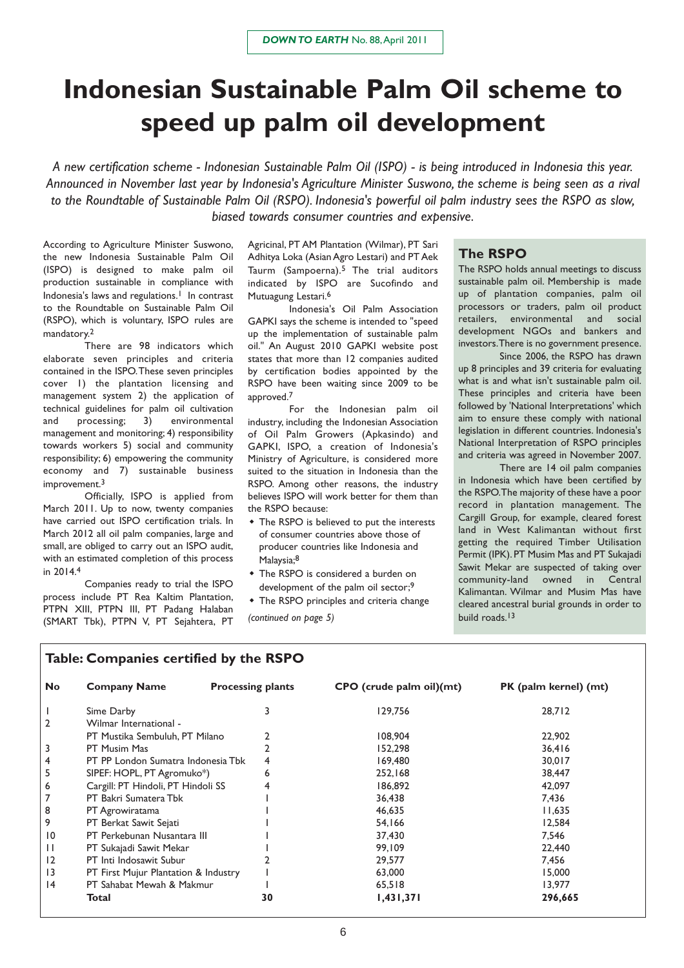## **Indonesian Sustainable Palm Oil scheme to speed up palm oil development**

*A new certification scheme - Indonesian Sustainable Palm Oil (ISPO) - is being introduced in Indonesia this year. Announced in November last year by Indonesia's Agriculture Minister Suswono, the scheme is being seen as a rival to the Roundtable of Sustainable Palm Oil (RSPO). Indonesia's powerful oil palm industry sees the RSPO as slow, biased towards consumer countries and expensive.*

According to Agriculture Minister Suswono, the new Indonesia Sustainable Palm Oil (ISPO) is designed to make palm oil production sustainable in compliance with Indonesia's laws and regulations.<sup>1</sup> In contrast to the Roundtable on Sustainable Palm Oil (RSPO), which is voluntary, ISPO rules are mandatory.2

There are 98 indicators which elaborate seven principles and criteria contained in the ISPO.These seven principles cover 1) the plantation licensing and management system 2) the application of technical guidelines for palm oil cultivation and processing; 3) environmental management and monitoring; 4) responsibility towards workers 5) social and community responsibility; 6) empowering the community economy and 7) sustainable business improvement.<sup>3</sup>

Officially, ISPO is applied from March 2011. Up to now, twenty companies have carried out ISPO certification trials. In March 2012 all oil palm companies, large and small, are obliged to carry out an ISPO audit, with an estimated completion of this process in 2014.4

Companies ready to trial the ISPO process include PT Rea Kaltim Plantation, PTPN XIII, PTPN III, PT Padang Halaban (SMART Tbk), PTPN V, PT Sejahtera, PT

Agricinal, PT AM Plantation (Wilmar), PT Sari Adhitya Loka (Asian Agro Lestari) and PT Aek Taurm (Sampoerna).5 The trial auditors indicated by ISPO are Sucofindo and Mutuagung Lestari.<sup>6</sup>

Indonesia's Oil Palm Association GAPKI says the scheme is intended to "speed up the implementation of sustainable palm oil." An August 2010 GAPKI website post states that more than 12 companies audited by certification bodies appointed by the RSPO have been waiting since 2009 to be approved.7

For the Indonesian palm oil industry, including the Indonesian Association of Oil Palm Growers (Apkasindo) and GAPKI, ISPO, a creation of Indonesia's Ministry of Agriculture, is considered more suited to the situation in Indonesia than the RSPO. Among other reasons, the industry believes ISPO will work better for them than the RSPO because:

- The RSPO is believed to put the interests of consumer countries above those of producer countries like Indonesia and Malaysia;8
- The RSPO is considered a burden on development of the palm oil sector:<sup>9</sup>

 The RSPO principles and criteria change build roads.13 *(continued on page 5)*

#### **The RSPO**

The RSPO holds annual meetings to discuss sustainable palm oil. Membership is made up of plantation companies, palm oil processors or traders, palm oil product retailers, environmental and social development NGOs and bankers and investors.There is no government presence.

Since 2006, the RSPO has drawn up 8 principles and 39 criteria for evaluating what is and what isn't sustainable palm oil. These principles and criteria have been followed by 'National Interpretations' which aim to ensure these comply with national legislation in different countries. Indonesia's National Interpretation of RSPO principles and criteria was agreed in November 2007.

There are 14 oil palm companies in Indonesia which have been certified by the RSPO.The majority of these have a poor record in plantation management. The Cargill Group, for example, cleared forest land in West Kalimantan without first getting the required Timber Utilisation Permit (IPK). PT Musim Mas and PT Sukajadi Sawit Mekar are suspected of taking over community-land owned in Central Kalimantan. Wilmar and Musim Mas have cleared ancestral burial grounds in order to

### **Table: Companies certified by the RSPO**

| <b>No</b>       | <b>Company Name</b>                  | <b>Processing plants</b> | CPO (crude palm oil)(mt) | PK (palm kernel) (mt) |
|-----------------|--------------------------------------|--------------------------|--------------------------|-----------------------|
|                 | Sime Darby                           | 3                        | 129.756                  | 28,712                |
| $\overline{2}$  | Wilmar International -               |                          |                          |                       |
|                 | PT Mustika Sembuluh, PT Milano       |                          | 108,904                  | 22,902                |
| 3               | PT Musim Mas                         |                          | 152,298                  | 36,416                |
| 4               | PT PP London Sumatra Indonesia Tbk   | 4                        | 169,480                  | 30,017                |
| 5               | SIPEF: HOPL, PT Agromuko*)           | 6                        | 252,168                  | 38,447                |
| 6               | Cargill: PT Hindoli, PT Hindoli SS   |                          | 186,892                  | 42,097                |
| 7               | PT Bakri Sumatera Tbk                |                          | 36,438                   | 7,436                 |
| 8               | PT Agrowiratama                      |                          | 46,635                   | 11,635                |
| 9               | PT Berkat Sawit Sejati               |                          | 54,166                   | 12,584                |
| $\overline{10}$ | PT Perkebunan Nusantara III          |                          | 37,430                   | 7.546                 |
| $\mathbf{H}$    | PT Sukajadi Sawit Mekar              |                          | 99,109                   | 22,440                |
| 12              | PT Inti Indosawit Subur              |                          | 29,577                   | 7,456                 |
| $\overline{13}$ | PT First Mujur Plantation & Industry |                          | 63,000                   | 15,000                |
| 4               | PT Sahabat Mewah & Makmur            |                          | 65,518                   | 13,977                |
|                 | Total                                | 30                       | 1,431,371                | 296,665               |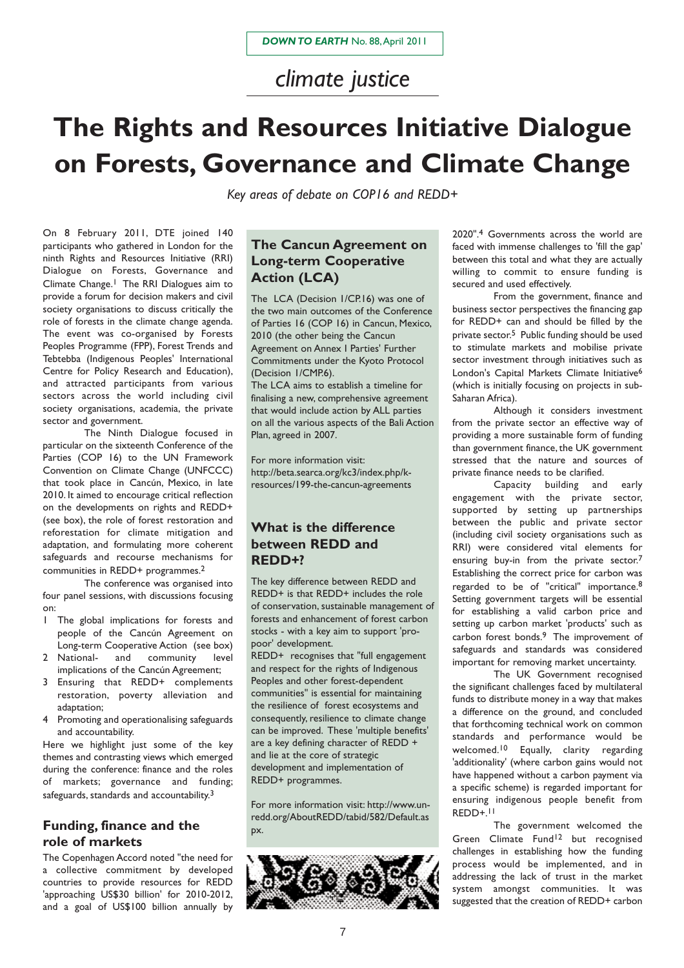*climate justice*

# **The Rights and Resources Initiative Dialogue on Forests, Governance and Climate Change**

*Key areas of debate on COP16 and REDD+*

On 8 February 2011, DTE joined 140 participants who gathered in London for the ninth Rights and Resources Initiative (RRI) Dialogue on Forests, Governance and Climate Change.1 The RRI Dialogues aim to provide a forum for decision makers and civil society organisations to discuss critically the role of forests in the climate change agenda. The event was co-organised by Forests Peoples Programme (FPP), Forest Trends and Tebtebba (Indigenous Peoples' International Centre for Policy Research and Education), and attracted participants from various sectors across the world including civil society organisations, academia, the private sector and government.

The Ninth Dialogue focused in particular on the sixteenth Conference of the Parties (COP 16) to the UN Framework Convention on Climate Change (UNFCCC) that took place in Cancún, Mexico, in late 2010. It aimed to encourage critical reflection on the developments on rights and REDD+ (see box), the role of forest restoration and reforestation for climate mitigation and adaptation, and formulating more coherent safeguards and recourse mechanisms for communities in REDD+ programmes.2

The conference was organised into four panel sessions, with discussions focusing on:

- 1 The global implications for forests and people of the Cancún Agreement on Long-term Cooperative Action (see box)
- 2 National- and community level implications of the Cancún Agreement;
- 3 Ensuring that REDD+ complements restoration, poverty alleviation and adaptation;
- 4 Promoting and operationalising safeguards and accountability.

Here we highlight just some of the key themes and contrasting views which emerged during the conference: finance and the roles of markets; governance and funding; safeguards, standards and accountability.<sup>3</sup>

### **Funding, finance and the role of markets**

The Copenhagen Accord noted "the need for a collective commitment by developed countries to provide resources for REDD 'approaching US\$30 billion' for 2010-2012, and a goal of US\$100 billion annually by

## **The Cancun Agreement on Long-term Cooperative Action (LCA)**

The LCA (Decision 1/CP.16) was one of the two main outcomes of the Conference of Parties 16 (COP 16) in Cancun, Mexico, 2010 (the other being the Cancun Agreement on Annex I Parties' Further Commitments under the Kyoto Protocol (Decision 1/CMP.6).

The LCA aims to establish a timeline for finalising a new, comprehensive agreement that would include action by ALL parties on all the various aspects of the Bali Action Plan, agreed in 2007.

For more information visit: http://beta.searca.org/kc3/index.php/kresources/199-the-cancun-agreements

## **What is the difference between REDD and REDD+?**

The key difference between REDD and REDD+ is that REDD+ includes the role of conservation, sustainable management of forests and enhancement of forest carbon stocks - with a key aim to support 'propoor' development.

REDD+ recognises that "full engagement and respect for the rights of Indigenous Peoples and other forest-dependent communities" is essential for maintaining the resilience of forest ecosystems and consequently, resilience to climate change can be improved. These 'multiple benefits' are a key defining character of REDD + and lie at the core of strategic development and implementation of REDD+ programmes.

For more information visit: http://www.unredd.org/AboutREDD/tabid/582/Default.as px.



2020".4 Governments across the world are faced with immense challenges to 'fill the gap' between this total and what they are actually willing to commit to ensure funding is secured and used effectively.

From the government, finance and business sector perspectives the financing gap for REDD+ can and should be filled by the private sector.5 Public funding should be used to stimulate markets and mobilise private sector investment through initiatives such as London's Capital Markets Climate Initiative6 (which is initially focusing on projects in sub-Saharan Africa).

Although it considers investment from the private sector an effective way of providing a more sustainable form of funding than government finance, the UK government stressed that the nature and sources of private finance needs to be clarified.

Capacity building and early engagement with the private sector, supported by setting up partnerships between the public and private sector (including civil society organisations such as RRI) were considered vital elements for ensuring buy-in from the private sector.<sup>7</sup> Establishing the correct price for carbon was regarded to be of "critical" importance.8 Setting government targets will be essential for establishing a valid carbon price and setting up carbon market 'products' such as carbon forest bonds.9 The improvement of safeguards and standards was considered important for removing market uncertainty.

The UK Government recognised the significant challenges faced by multilateral funds to distribute money in a way that makes a difference on the ground, and concluded that forthcoming technical work on common standards and performance would be welcomed.10 Equally, clarity regarding 'additionality' (where carbon gains would not have happened without a carbon payment via a specific scheme) is regarded important for ensuring indigenous people benefit from REDD+.11

The government welcomed the Green Climate Fund<sup>12</sup> but recognised challenges in establishing how the funding process would be implemented, and in addressing the lack of trust in the market system amongst communities. It was suggested that the creation of REDD+ carbon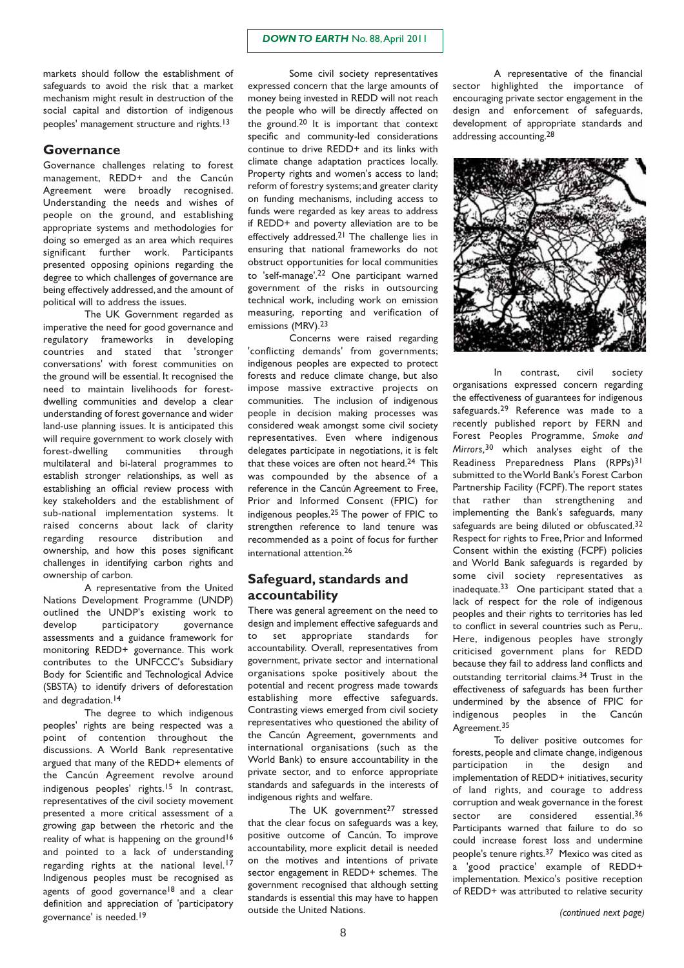#### *DOWN TO EARTH* No. 88,April 2011

markets should follow the establishment of safeguards to avoid the risk that a market mechanism might result in destruction of the social capital and distortion of indigenous peoples' management structure and rights.13

#### **Governance**

Governance challenges relating to forest management, REDD+ and the Cancún Agreement were broadly recognised. Understanding the needs and wishes of people on the ground, and establishing appropriate systems and methodologies for doing so emerged as an area which requires significant further work. Participants presented opposing opinions regarding the degree to which challenges of governance are being effectively addressed, and the amount of political will to address the issues.

The UK Government regarded as imperative the need for good governance and regulatory frameworks in developing countries and stated that 'stronger conversations' with forest communities on the ground will be essential. It recognised the need to maintain livelihoods for forestdwelling communities and develop a clear understanding of forest governance and wider land-use planning issues. It is anticipated this will require government to work closely with forest-dwelling communities through multilateral and bi-lateral programmes to establish stronger relationships, as well as establishing an official review process with key stakeholders and the establishment of sub-national implementation systems. It raised concerns about lack of clarity regarding resource distribution and ownership, and how this poses significant challenges in identifying carbon rights and ownership of carbon.

A representative from the United Nations Development Programme (UNDP) outlined the UNDP's existing work to<br>develop participatory governance participatory governance assessments and a guidance framework for monitoring REDD+ governance. This work contributes to the UNFCCC's Subsidiary Body for Scientific and Technological Advice (SBSTA) to identify drivers of deforestation and degradation.<sup>14</sup>

The degree to which indigenous peoples' rights are being respected was a point of contention throughout the discussions. A World Bank representative argued that many of the REDD+ elements of the Cancún Agreement revolve around indigenous peoples' rights.15 In contrast, representatives of the civil society movement presented a more critical assessment of a growing gap between the rhetoric and the reality of what is happening on the ground<sup>16</sup> and pointed to a lack of understanding regarding rights at the national level.<sup>17</sup> Indigenous peoples must be recognised as agents of good governance<sup>18</sup> and a clear definition and appreciation of 'participatory governance' is needed.19

Some civil society representatives expressed concern that the large amounts of money being invested in REDD will not reach the people who will be directly affected on the ground.20 It is important that context specific and community-led considerations continue to drive REDD+ and its links with climate change adaptation practices locally. Property rights and women's access to land; reform of forestry systems;and greater clarity on funding mechanisms, including access to funds were regarded as key areas to address if REDD+ and poverty alleviation are to be effectively addressed.21 The challenge lies in ensuring that national frameworks do not obstruct opportunities for local communities to 'self-manage'.22 One participant warned government of the risks in outsourcing technical work, including work on emission measuring, reporting and verification of emissions (MRV).<sup>23</sup>

Concerns were raised regarding 'conflicting demands' from governments; indigenous peoples are expected to protect forests and reduce climate change, but also impose massive extractive projects on communities. The inclusion of indigenous people in decision making processes was considered weak amongst some civil society representatives. Even where indigenous delegates participate in negotiations, it is felt that these voices are often not heard.24 This was compounded by the absence of a reference in the Cancún Agreement to Free, Prior and Informed Consent (FPIC) for indigenous peoples.25 The power of FPIC to strengthen reference to land tenure was recommended as a point of focus for further international attention.26

#### **Safeguard, standards and accountability**

There was general agreement on the need to design and implement effective safeguards and to set appropriate standards for accountability. Overall, representatives from government, private sector and international organisations spoke positively about the potential and recent progress made towards establishing more effective safeguards. Contrasting views emerged from civil society representatives who questioned the ability of the Cancún Agreement, governments and international organisations (such as the World Bank) to ensure accountability in the private sector, and to enforce appropriate standards and safeguards in the interests of indigenous rights and welfare.

The UK government<sup>27</sup> stressed that the clear focus on safeguards was a key, positive outcome of Cancún. To improve accountability, more explicit detail is needed on the motives and intentions of private sector engagement in REDD+ schemes. The government recognised that although setting standards is essential this may have to happen outside the United Nations.

A representative of the financial sector highlighted the importance of encouraging private sector engagement in the design and enforcement of safeguards, development of appropriate standards and addressing accounting.28



In contrast, civil society organisations expressed concern regarding the effectiveness of guarantees for indigenous safeguards.<sup>29</sup> Reference was made to a recently published report by FERN and Forest Peoples Programme, *Smoke and Mirrors,*30 which analyses eight of the Readiness Preparedness Plans (RPPs)31 submitted to the World Bank's Forest Carbon Partnership Facility (FCPF).The report states that rather than strengthening and implementing the Bank's safeguards, many safeguards are being diluted or obfuscated.<sup>32</sup> Respect for rights to Free, Prior and Informed Consent within the existing (FCPF) policies and World Bank safeguards is regarded by some civil society representatives as inadequate.33 One participant stated that a lack of respect for the role of indigenous peoples and their rights to territories has led to conflict in several countries such as Peru,. Here, indigenous peoples have strongly criticised government plans for REDD because they fail to address land conflicts and outstanding territorial claims.34 Trust in the effectiveness of safeguards has been further undermined by the absence of FPIC for indigenous peoples in the Cancún Agreement.<sup>35</sup>

To deliver positive outcomes for forests, people and climate change, indigenous participation in the design and implementation of REDD+ initiatives, security of land rights, and courage to address corruption and weak governance in the forest sector are considered essential.<sup>36</sup> Participants warned that failure to do so could increase forest loss and undermine people's tenure rights.37 Mexico was cited as a 'good practice' example of REDD+ implementation. Mexico's positive reception of REDD+ was attributed to relative security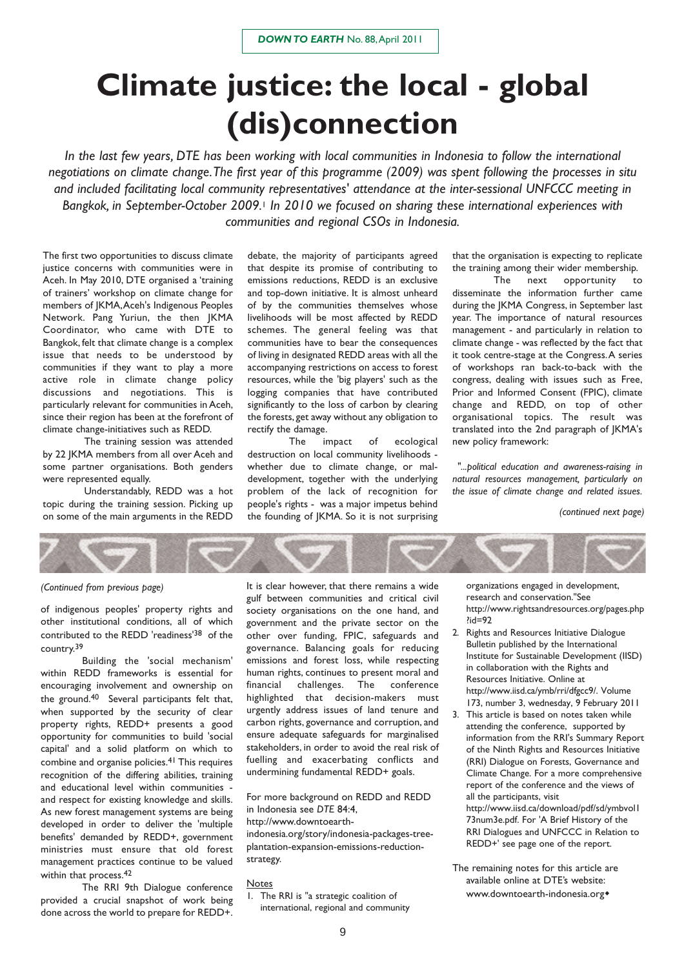# **Climate justice: the local - global (dis)connection**

*In the last few years, DTE has been working with local communities in Indonesia to follow the international negotiations on climate change.The first year of this programme (2009) was spent following the processes in situ and included facilitating local community representatives' attendance at the inter-sessional UNFCCC meeting in Bangkok, in September-October 2009.*<sup>1</sup> *In 2010 we focused on sharing these international experiences with communities and regional CSOs in Indonesia.*

The first two opportunities to discuss climate justice concerns with communities were in Aceh. In May 2010, DTE organised a 'training of trainers' workshop on climate change for members of JKMA,Aceh's Indigenous Peoples Network. Pang Yuriun, the then JKMA Coordinator, who came with DTE to Bangkok, felt that climate change is a complex issue that needs to be understood by communities if they want to play a more active role in climate change policy discussions and negotiations. This is particularly relevant for communities in Aceh, since their region has been at the forefront of climate change-initiatives such as REDD.

The training session was attended by 22 JKMA members from all over Aceh and some partner organisations. Both genders were represented equally.

Understandably, REDD was a hot topic during the training session. Picking up on some of the main arguments in the REDD

debate, the majority of participants agreed that despite its promise of contributing to emissions reductions, REDD is an exclusive and top-down initiative. It is almost unheard of by the communities themselves whose livelihoods will be most affected by REDD schemes. The general feeling was that communities have to bear the consequences of living in designated REDD areas with all the accompanying restrictions on access to forest resources, while the 'big players' such as the logging companies that have contributed significantly to the loss of carbon by clearing the forests, get away without any obligation to rectify the damage.

The impact of ecological destruction on local community livelihoods whether due to climate change, or maldevelopment, together with the underlying problem of the lack of recognition for people's rights - was a major impetus behind the founding of JKMA. So it is not surprising

that the organisation is expecting to replicate the training among their wider membership.

The next opportunity to disseminate the information further came during the JKMA Congress, in September last year. The importance of natural resources management - and particularly in relation to climate change - was reflected by the fact that it took centre-stage at the Congress.A series of workshops ran back-to-back with the congress, dealing with issues such as Free, Prior and Informed Consent (FPIC), climate change and REDD, on top of other organisational topics. The result was translated into the 2nd paragraph of JKMA's new policy framework:

*"...political education and awareness-raising in natural resources management, particularly on the issue of climate change and related issues.*

*(continued next page)*

#### *(Continued from previous page)*

of indigenous peoples' property rights and other institutional conditions, all of which contributed to the REDD 'readiness'38 of the country.39

Building the 'social mechanism' within REDD frameworks is essential for encouraging involvement and ownership on the ground.40 Several participants felt that, when supported by the security of clear property rights, REDD+ presents a good opportunity for communities to build 'social capital' and a solid platform on which to combine and organise policies.41 This requires recognition of the differing abilities, training and educational level within communities and respect for existing knowledge and skills. As new forest management systems are being developed in order to deliver the 'multiple benefits' demanded by REDD+, government ministries must ensure that old forest management practices continue to be valued within that process.42

The RRI 9th Dialogue conference provided a crucial snapshot of work being done across the world to prepare for REDD+.

It is clear however, that there remains a wide gulf between communities and critical civil society organisations on the one hand, and government and the private sector on the other over funding, FPIC, safeguards and governance. Balancing goals for reducing emissions and forest loss, while respecting human rights, continues to present moral and financial challenges. The conference highlighted that decision-makers must urgently address issues of land tenure and carbon rights, governance and corruption, and ensure adequate safeguards for marginalised stakeholders, in order to avoid the real risk of fuelling and exacerbating conflicts and undermining fundamental REDD+ goals.

For more background on REDD and REDD in Indonesia see *DTE* 84:4,

http://www.downtoearth-

indonesia.org/story/indonesia-packages-treeplantation-expansion-emissions-reductionstrategy.

**Notes** 

1. The RRI is "a strategic coalition of international, regional and community organizations engaged in development, research and conservation."See http://www.rightsandresources.org/pages.php  $^{\prime}$ id=92

- 2. Rights and Resources Initiative Dialogue Bulletin published by the International Institute for Sustainable Development (IISD) in collaboration with the Rights and Resources Initiative. Online at http://www.iisd.ca/ymb/rri/dfgcc9/. Volume 173, number 3, wednesday, 9 February 2011
- 3. This article is based on notes taken while attending the conference, supported by information from the RRI's Summary Report of the Ninth Rights and Resources Initiative (RRI) Dialogue on Forests, Governance and Climate Change. For a more comprehensive report of the conference and the views of all the participants, visit

http://www.iisd.ca/download/pdf/sd/ymbvol1 73num3e.pdf. For 'A Brief History of the RRI Dialogues and UNFCCC in Relation to REDD+' see page one of the report.

The remaining notes for this article are available online at DTE's website: www.downtoearth-indonesia.org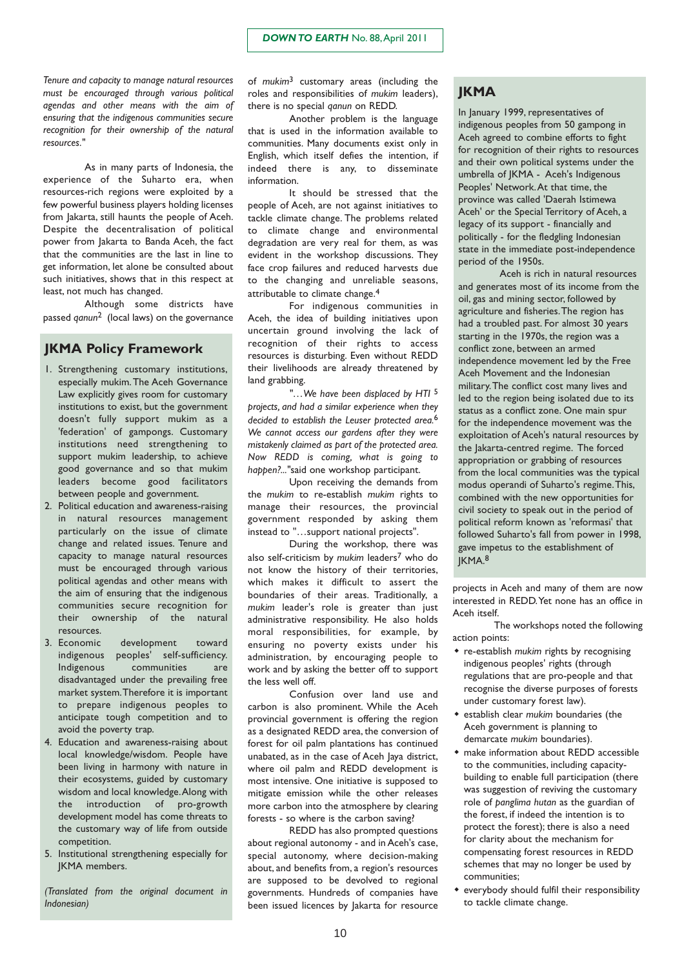*Tenure and capacity to manage natural resources must be encouraged through various political agendas and other means with the aim of ensuring that the indigenous communities secure recognition for their ownership of the natural resources."*

As in many parts of Indonesia, the experience of the Suharto era, when resources-rich regions were exploited by a few powerful business players holding licenses from Jakarta, still haunts the people of Aceh. Despite the decentralisation of political power from Jakarta to Banda Aceh, the fact that the communities are the last in line to get information, let alone be consulted about such initiatives, shows that in this respect at least, not much has changed.

Although some districts have passed *qanun*2 (local laws) on the governance

#### **JKMA Policy Framework**

- 1. Strengthening customary institutions, especially mukim.The Aceh Governance Law explicitly gives room for customary institutions to exist, but the government doesn't fully support mukim as a 'federation' of gampongs. Customary institutions need strengthening to support mukim leadership, to achieve good governance and so that mukim leaders become good facilitators between people and government.
- 2. Political education and awareness-raising in natural resources management particularly on the issue of climate change and related issues. Tenure and capacity to manage natural resources must be encouraged through various political agendas and other means with the aim of ensuring that the indigenous communities secure recognition for their ownership of the natural resources.
- 3. Economic development toward indigenous peoples' self-sufficiency. Indigenous communities are disadvantaged under the prevailing free market system.Therefore it is important to prepare indigenous peoples to anticipate tough competition and to avoid the poverty trap.
- 4. Education and awareness-raising about local knowledge/wisdom. People have been living in harmony with nature in their ecosystems, guided by customary wisdom and local knowledge.Along with the introduction of pro-growth development model has come threats to the customary way of life from outside competition.
- 5. Institutional strengthening especially for JKMA members.

*(Translated from the original document in Indonesian)*

of *mukim*3 customary areas (including the roles and responsibilities of *mukim* leaders), there is no special *qanun* on REDD.

Another problem is the language that is used in the information available to communities. Many documents exist only in English, which itself defies the intention, if indeed there is any, to disseminate information.

It should be stressed that the people of Aceh, are not against initiatives to tackle climate change. The problems related to climate change and environmental degradation are very real for them, as was evident in the workshop discussions. They face crop failures and reduced harvests due to the changing and unreliable seasons, attributable to climate change.4

For indigenous communities in Aceh, the idea of building initiatives upon uncertain ground involving the lack of recognition of their rights to access resources is disturbing. Even without REDD their livelihoods are already threatened by land grabbing.

*"…We have been displaced by HTI* 5 *projects, and had a similar experience when they decided to establish the Leuser protected area.*6 *We cannot access our gardens after they were mistakenly claimed as part of the protected area. Now REDD is coming, what is going to happen?..."*said one workshop participant.

Upon receiving the demands from the *mukim* to re-establish *mukim* rights to manage their resources, the provincial government responded by asking them instead to "…support national projects".

During the workshop, there was also self-criticism by *mukim* leaders7 who do not know the history of their territories, which makes it difficult to assert the boundaries of their areas. Traditionally, a *mukim* leader's role is greater than just administrative responsibility. He also holds moral responsibilities, for example, by ensuring no poverty exists under his administration, by encouraging people to work and by asking the better off to support the less well off.

Confusion over land use and carbon is also prominent. While the Aceh provincial government is offering the region as a designated REDD area, the conversion of forest for oil palm plantations has continued unabated, as in the case of Aceh Jaya district, where oil palm and REDD development is most intensive. One initiative is supposed to mitigate emission while the other releases more carbon into the atmosphere by clearing forests - so where is the carbon saving?

REDD has also prompted questions about regional autonomy - and in Aceh's case, special autonomy, where decision-making about, and benefits from, a region's resources are supposed to be devolved to regional governments. Hundreds of companies have been issued licences by Jakarta for resource

#### **JKMA**

In January 1999, representatives of indigenous peoples from 50 gampong in Aceh agreed to combine efforts to fight for recognition of their rights to resources and their own political systems under the umbrella of JKMA - Aceh's Indigenous Peoples' Network.At that time, the province was called 'Daerah Istimewa Aceh' or the Special Territory of Aceh, a legacy of its support - financially and politically - for the fledgling Indonesian state in the immediate post-independence period of the 1950s.

Aceh is rich in natural resources and generates most of its income from the oil, gas and mining sector, followed by agriculture and fisheries.The region has had a troubled past. For almost 30 years starting in the 1970s, the region was a conflict zone, between an armed independence movement led by the Free Aceh Movement and the Indonesian military.The conflict cost many lives and led to the region being isolated due to its status as a conflict zone. One main spur for the independence movement was the exploitation of Aceh's natural resources by the Jakarta-centred regime. The forced appropriation or grabbing of resources from the local communities was the typical modus operandi of Suharto's regime.This, combined with the new opportunities for civil society to speak out in the period of political reform known as 'reformasi' that followed Suharto's fall from power in 1998, gave impetus to the establishment of JKMA.8

projects in Aceh and many of them are now interested in REDD.Yet none has an office in Aceh itself.

The workshops noted the following action points:

- re-establish *mukim* rights by recognising indigenous peoples' rights (through regulations that are pro-people and that recognise the diverse purposes of forests under customary forest law).
- establish clear *mukim* boundaries (the Aceh government is planning to demarcate *mukim* boundaries).
- make information about REDD accessible to the communities, including capacitybuilding to enable full participation (there was suggestion of reviving the customary role of *panglima hutan* as the guardian of the forest, if indeed the intention is to protect the forest); there is also a need for clarity about the mechanism for compensating forest resources in REDD schemes that may no longer be used by communities;
- everybody should fulfil their responsibility to tackle climate change.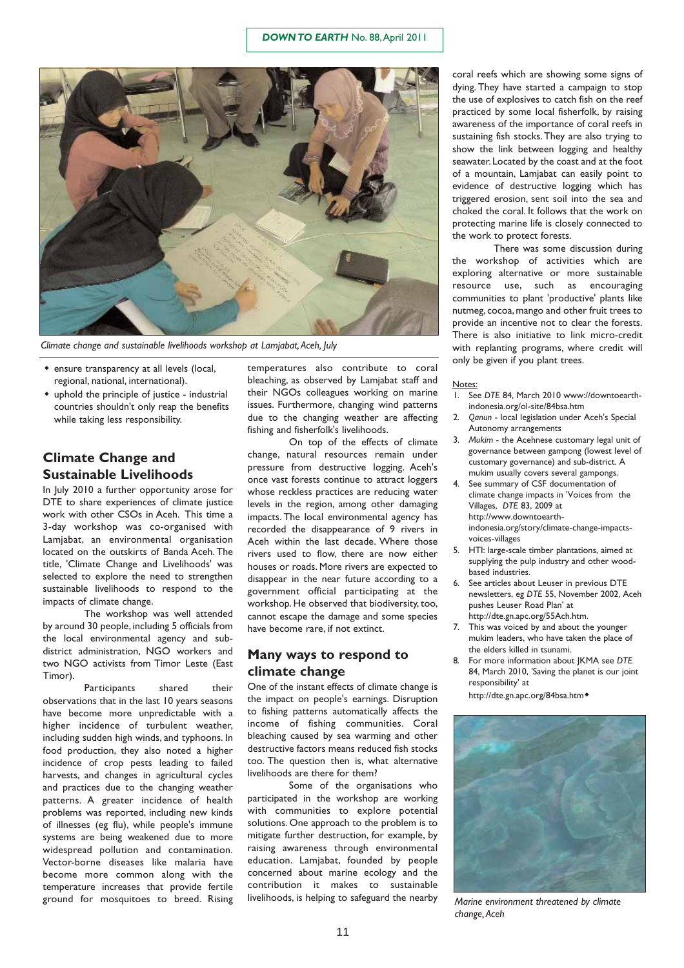

*Climate change and sustainable livelihoods workshop at Lamjabat,Aceh, July*

- ensure transparency at all levels (local, regional, national, international).
- uphold the principle of justice industrial countries shouldn't only reap the benefits while taking less responsibility.

### **Climate Change and Sustainable Livelihoods**

In July 2010 a further opportunity arose for DTE to share experiences of climate justice work with other CSOs in Aceh. This time a 3-day workshop was co-organised with Lamjabat, an environmental organisation located on the outskirts of Banda Aceh. The title, 'Climate Change and Livelihoods' was selected to explore the need to strengthen sustainable livelihoods to respond to the impacts of climate change.

The workshop was well attended by around 30 people, including 5 officials from the local environmental agency and subdistrict administration, NGO workers and two NGO activists from Timor Leste (East Timor).

Participants shared their observations that in the last 10 years seasons have become more unpredictable with a higher incidence of turbulent weather, including sudden high winds, and typhoons. In food production, they also noted a higher incidence of crop pests leading to failed harvests, and changes in agricultural cycles and practices due to the changing weather patterns. A greater incidence of health problems was reported, including new kinds of illnesses (eg flu), while people's immune systems are being weakened due to more widespread pollution and contamination. Vector-borne diseases like malaria have become more common along with the temperature increases that provide fertile ground for mosquitoes to breed. Rising

temperatures also contribute to coral bleaching, as observed by Lamjabat staff and their NGOs colleagues working on marine issues. Furthermore, changing wind patterns due to the changing weather are affecting fishing and fisherfolk's livelihoods.

On top of the effects of climate change, natural resources remain under pressure from destructive logging. Aceh's once vast forests continue to attract loggers whose reckless practices are reducing water levels in the region, among other damaging impacts. The local environmental agency has recorded the disappearance of 9 rivers in Aceh within the last decade. Where those rivers used to flow, there are now either houses or roads. More rivers are expected to disappear in the near future according to a government official participating at the workshop. He observed that biodiversity, too, cannot escape the damage and some species have become rare, if not extinct.

#### **Many ways to respond to climate change**

One of the instant effects of climate change is the impact on people's earnings. Disruption to fishing patterns automatically affects the income of fishing communities. Coral bleaching caused by sea warming and other destructive factors means reduced fish stocks too. The question then is, what alternative livelihoods are there for them?

Some of the organisations who participated in the workshop are working with communities to explore potential solutions. One approach to the problem is to mitigate further destruction, for example, by raising awareness through environmental education. Lamjabat, founded by people concerned about marine ecology and the contribution it makes to sustainable livelihoods, is helping to safeguard the nearby

coral reefs which are showing some signs of dying. They have started a campaign to stop the use of explosives to catch fish on the reef practiced by some local fisherfolk, by raising awareness of the importance of coral reefs in sustaining fish stocks.They are also trying to show the link between logging and healthy seawater. Located by the coast and at the foot of a mountain, Lamjabat can easily point to evidence of destructive logging which has triggered erosion, sent soil into the sea and choked the coral. It follows that the work on protecting marine life is closely connected to the work to protect forests.

There was some discussion during the workshop of activities which are exploring alternative or more sustainable resource use, such as encouraging communities to plant 'productive' plants like nutmeg, cocoa, mango and other fruit trees to provide an incentive not to clear the forests. There is also initiative to link micro-credit with replanting programs, where credit will only be given if you plant trees.

#### Notes:

- 1. See *DTE* 84, March 2010 www://downtoearthindonesia.org/ol-site/84bsa.htm
- 2. *Qanun* local legislation under Aceh's Special Autonomy arrangements
- 3. *Mukim* the Acehnese customary legal unit of governance between gampong (lowest level of customary governance) and sub-district. A mukim usually covers several gampongs.
- See summary of CSF documentation of climate change impacts in 'Voices from the Villages, *DTE* 83, 2009 at http://www.downtoearth-

indonesia.org/story/climate-change-impactsvoices-villages

- 5. HTI: large-scale timber plantations, aimed at supplying the pulp industry and other woodbased industries.
- 6. See articles about Leuser in previous DTE newsletters, eg *DTE* 55, November 2002, Aceh pushes Leuser Road Plan' at http://dte.gn.apc.org/55Ach.htm.
- 7. This was voiced by and about the younger mukim leaders, who have taken the place of the elders killed in tsunami.
- 8. For more information about JKMA see *DTE* 84, March 2010, 'Saving the planet is our joint responsibility' at

http://dte.gn.apc.org/84bsa.htm



*Marine environment threatened by climate change,Aceh*